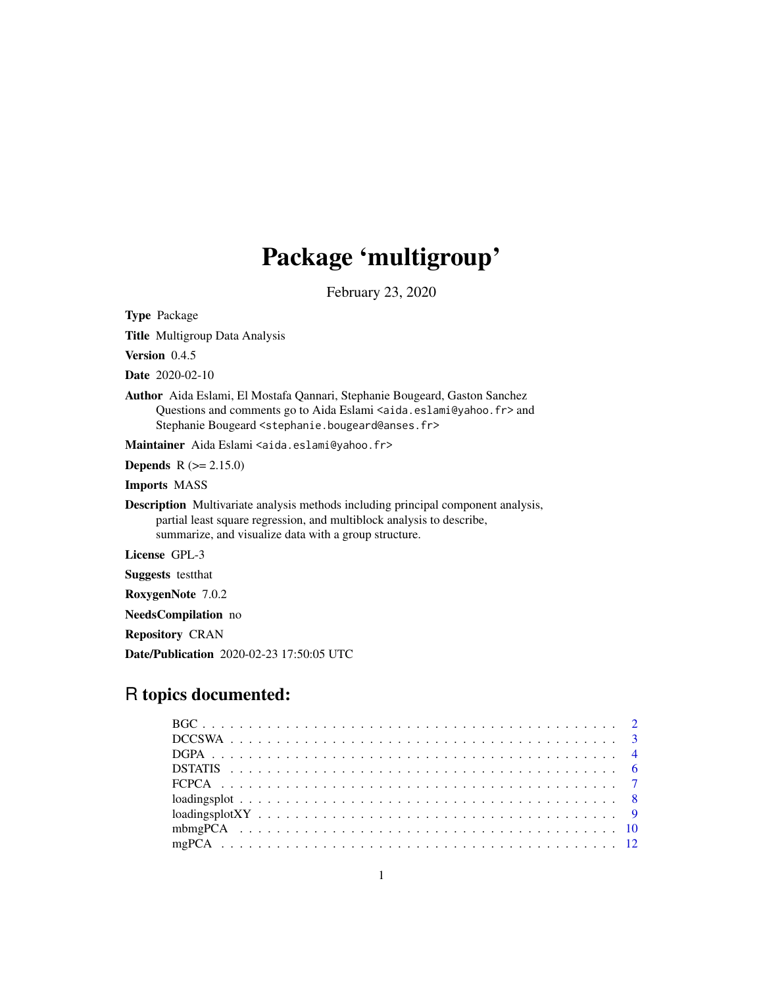## Package 'multigroup'

February 23, 2020

<span id="page-0-0"></span>Type Package

Title Multigroup Data Analysis

Version 0.4.5

Date 2020-02-10

Author Aida Eslami, El Mostafa Qannari, Stephanie Bougeard, Gaston Sanchez Questions and comments go to Aida Eslami <aida.eslami@yahoo.fr> and Stephanie Bougeard <stephanie.bougeard@anses.fr>

Maintainer Aida Eslami <aida.eslami@yahoo.fr>

Depends R (>= 2.15.0)

Imports MASS

Description Multivariate analysis methods including principal component analysis, partial least square regression, and multiblock analysis to describe, summarize, and visualize data with a group structure.

License GPL-3

Suggests testthat

RoxygenNote 7.0.2

NeedsCompilation no

Repository CRAN

Date/Publication 2020-02-23 17:50:05 UTC

## R topics documented:

| $loadingsplot \ldots \ldots \ldots \ldots \ldots \ldots \ldots \ldots \ldots \ldots \ldots \ldots \ldots$ |  |
|-----------------------------------------------------------------------------------------------------------|--|
|                                                                                                           |  |
|                                                                                                           |  |
|                                                                                                           |  |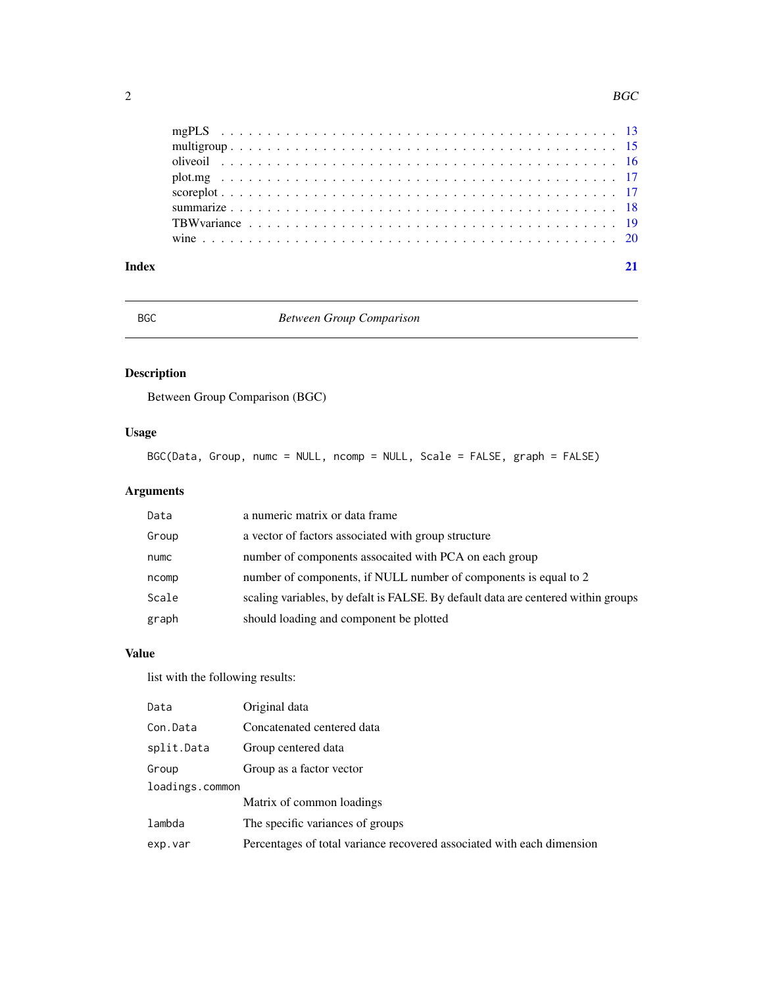<span id="page-1-0"></span>

## <span id="page-1-1"></span>BGC *Between Group Comparison*

## Description

Between Group Comparison (BGC)

## Usage

BGC(Data, Group, numc = NULL, ncomp = NULL, Scale = FALSE, graph = FALSE)

## Arguments

| Data  | a numeric matrix or data frame                                                    |
|-------|-----------------------------------------------------------------------------------|
| Group | a vector of factors associated with group structure                               |
| numc  | number of components assocaited with PCA on each group                            |
| ncomp | number of components, if NULL number of components is equal to 2                  |
| Scale | scaling variables, by defalt is FALSE. By default data are centered within groups |
| graph | should loading and component be plotted                                           |

## Value

| Data            | Original data                                                          |
|-----------------|------------------------------------------------------------------------|
| Con.Data        | Concatenated centered data                                             |
| split.Data      | Group centered data                                                    |
| Group           | Group as a factor vector                                               |
| loadings.common |                                                                        |
|                 | Matrix of common loadings                                              |
| lambda          | The specific variances of groups                                       |
| exp.var         | Percentages of total variance recovered associated with each dimension |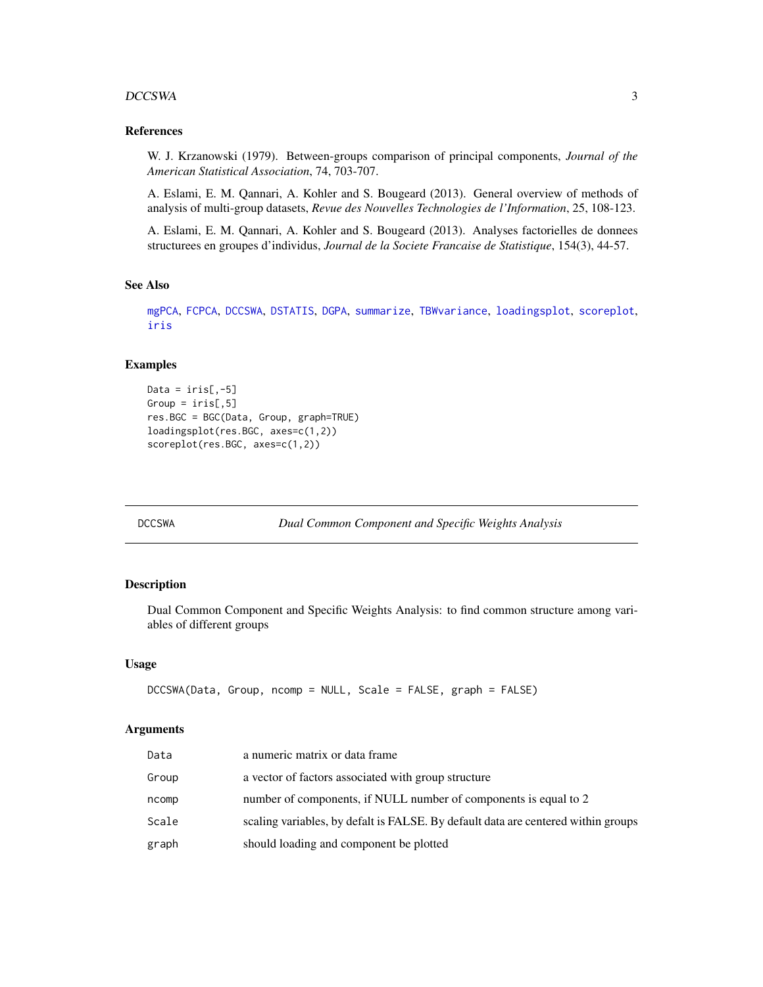#### <span id="page-2-0"></span>DCCSWA 3

### References

W. J. Krzanowski (1979). Between-groups comparison of principal components, *Journal of the American Statistical Association*, 74, 703-707.

A. Eslami, E. M. Qannari, A. Kohler and S. Bougeard (2013). General overview of methods of analysis of multi-group datasets, *Revue des Nouvelles Technologies de l'Information*, 25, 108-123.

A. Eslami, E. M. Qannari, A. Kohler and S. Bougeard (2013). Analyses factorielles de donnees structurees en groupes d'individus, *Journal de la Societe Francaise de Statistique*, 154(3), 44-57.

#### See Also

[mgPCA](#page-11-1), [FCPCA](#page-6-1), [DCCSWA](#page-2-1), [DSTATIS](#page-5-1), [DGPA](#page-3-1), [summarize](#page-17-1), [TBWvariance](#page-18-1), [loadingsplot](#page-7-1), [scoreplot](#page-16-1), [iris](#page-0-0)

#### Examples

```
Data = iris[, -5]Group = iris[, 5]res.BGC = BGC(Data, Group, graph=TRUE)
loadingsplot(res.BGC, axes=c(1,2))
scoreplot(res.BGC, axes=c(1,2))
```
<span id="page-2-1"></span>DCCSWA *Dual Common Component and Specific Weights Analysis*

#### Description

Dual Common Component and Specific Weights Analysis: to find common structure among variables of different groups

#### Usage

```
DCCSWA(Data, Group, ncomp = NULL, Scale = FALSE, graph = FALSE)
```
#### Arguments

| Data  | a numeric matrix or data frame                                                    |
|-------|-----------------------------------------------------------------------------------|
| Group | a vector of factors associated with group structure                               |
| ncomp | number of components, if NULL number of components is equal to 2                  |
| Scale | scaling variables, by defalt is FALSE. By default data are centered within groups |
| graph | should loading and component be plotted                                           |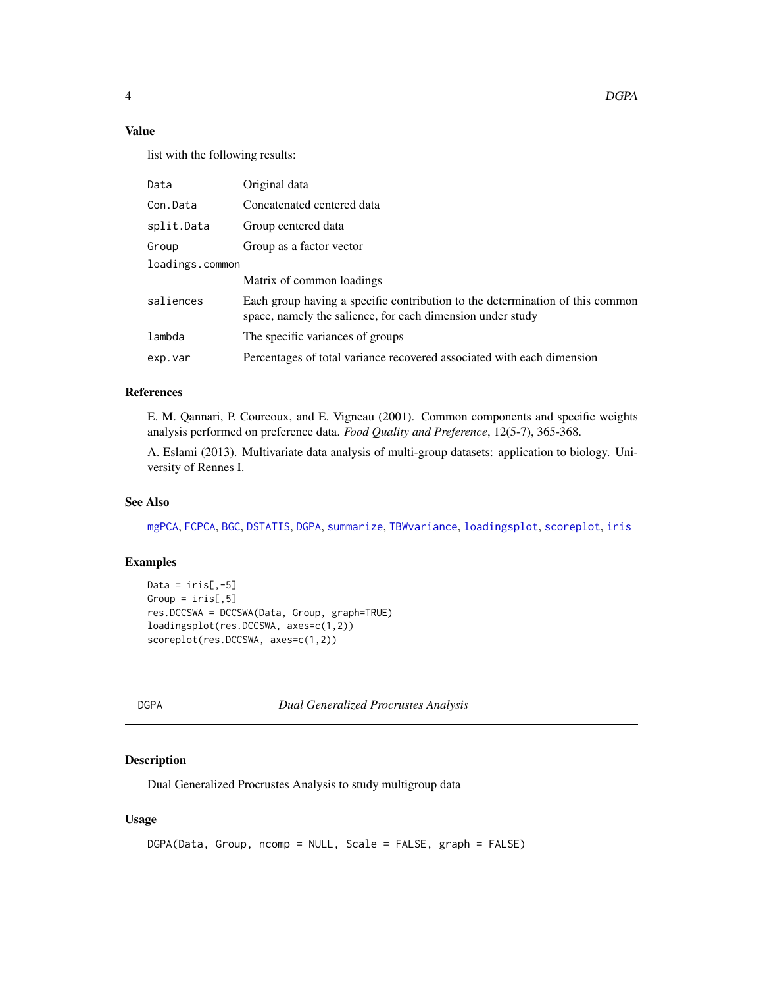<span id="page-3-0"></span>4 DGPA

## Value

list with the following results:

| Data            | Original data                                                                                                                               |
|-----------------|---------------------------------------------------------------------------------------------------------------------------------------------|
| Con.Data        | Concatenated centered data                                                                                                                  |
| split.Data      | Group centered data                                                                                                                         |
| Group           | Group as a factor vector                                                                                                                    |
| loadings.common |                                                                                                                                             |
|                 | Matrix of common loadings                                                                                                                   |
| saliences       | Each group having a specific contribution to the determination of this common<br>space, namely the salience, for each dimension under study |
| lambda          | The specific variances of groups                                                                                                            |
| exp.var         | Percentages of total variance recovered associated with each dimension                                                                      |
|                 |                                                                                                                                             |

## References

E. M. Qannari, P. Courcoux, and E. Vigneau (2001). Common components and specific weights analysis performed on preference data. *Food Quality and Preference*, 12(5-7), 365-368.

A. Eslami (2013). Multivariate data analysis of multi-group datasets: application to biology. University of Rennes I.

#### See Also

[mgPCA](#page-11-1), [FCPCA](#page-6-1), [BGC](#page-1-1), [DSTATIS](#page-5-1), [DGPA](#page-3-1), [summarize](#page-17-1), [TBWvariance](#page-18-1), [loadingsplot](#page-7-1), [scoreplot](#page-16-1), [iris](#page-0-0)

## Examples

```
Data = iris[, -5]Group = iris[, 5]res.DCCSWA = DCCSWA(Data, Group, graph=TRUE)
loadingsplot(res.DCCSWA, axes=c(1,2))
scoreplot(res.DCCSWA, axes=c(1,2))
```
<span id="page-3-1"></span>DGPA *Dual Generalized Procrustes Analysis*

## Description

Dual Generalized Procrustes Analysis to study multigroup data

## Usage

```
DGPA(Data, Group, ncomp = NULL, Scale = FALSE, graph = FALSE)
```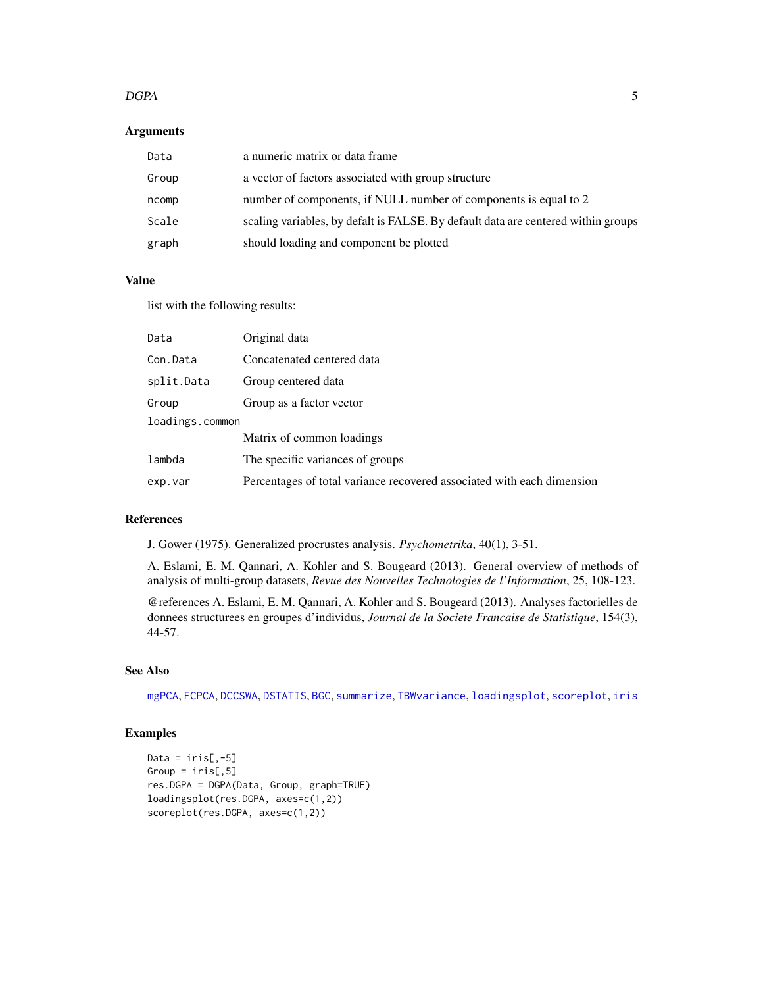#### <span id="page-4-0"></span> $DGPA$  5

## Arguments

| Data  | a numeric matrix or data frame                                                    |
|-------|-----------------------------------------------------------------------------------|
| Group | a vector of factors associated with group structure                               |
| ncomp | number of components, if NULL number of components is equal to 2                  |
| Scale | scaling variables, by defalt is FALSE. By default data are centered within groups |
| graph | should loading and component be plotted                                           |

## Value

list with the following results:

| Data            | Original data                                                          |
|-----------------|------------------------------------------------------------------------|
| Con.Data        | Concatenated centered data                                             |
| split.Data      | Group centered data                                                    |
| Group           | Group as a factor vector                                               |
| loadings.common |                                                                        |
|                 | Matrix of common loadings                                              |
| lambda          | The specific variances of groups                                       |
| exp.var         | Percentages of total variance recovered associated with each dimension |

## References

J. Gower (1975). Generalized procrustes analysis. *Psychometrika*, 40(1), 3-51.

A. Eslami, E. M. Qannari, A. Kohler and S. Bougeard (2013). General overview of methods of analysis of multi-group datasets, *Revue des Nouvelles Technologies de l'Information*, 25, 108-123.

@references A. Eslami, E. M. Qannari, A. Kohler and S. Bougeard (2013). Analyses factorielles de donnees structurees en groupes d'individus, *Journal de la Societe Francaise de Statistique*, 154(3), 44-57.

## See Also

[mgPCA](#page-11-1), [FCPCA](#page-6-1), [DCCSWA](#page-2-1), [DSTATIS](#page-5-1), [BGC](#page-1-1), [summarize](#page-17-1), [TBWvariance](#page-18-1), [loadingsplot](#page-7-1), [scoreplot](#page-16-1), [iris](#page-0-0)

```
Data = iris[, -5]Group = iris[, 5]res.DGPA = DGPA(Data, Group, graph=TRUE)
loadingsplot(res.DGPA, axes=c(1,2))
scoreplot(res.DGPA, axes=c(1,2))
```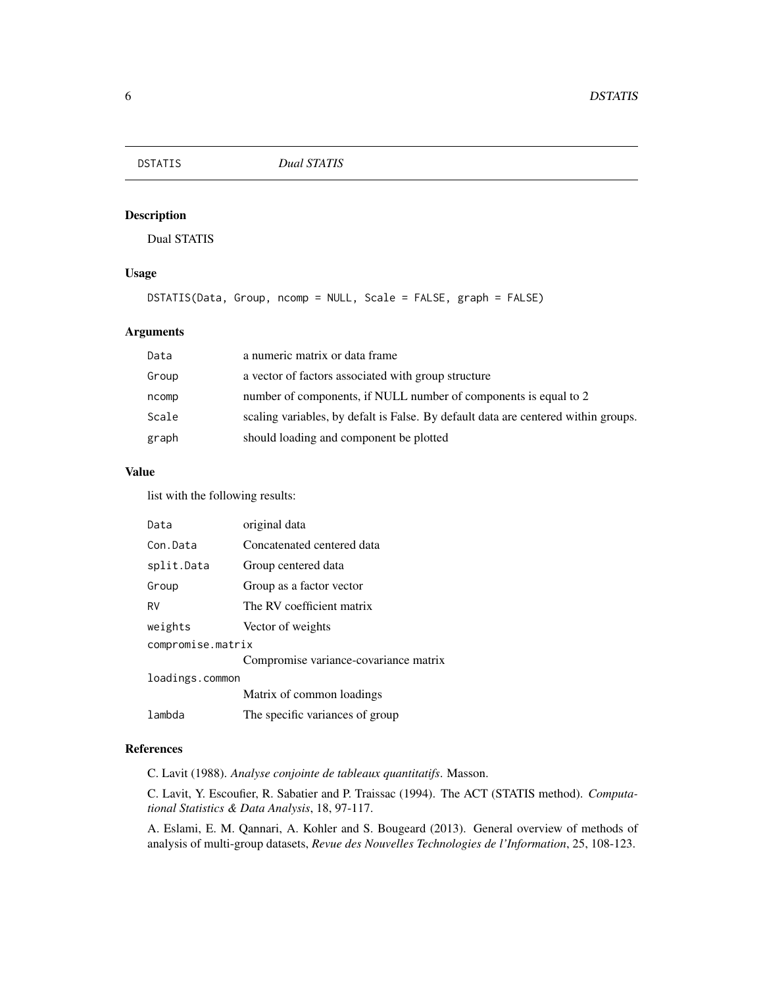<span id="page-5-1"></span><span id="page-5-0"></span>

Dual STATIS

## Usage

```
DSTATIS(Data, Group, ncomp = NULL, Scale = FALSE, graph = FALSE)
```
## Arguments

| Data  | a numeric matrix or data frame                                                     |
|-------|------------------------------------------------------------------------------------|
| Group | a vector of factors associated with group structure                                |
| ncomp | number of components, if NULL number of components is equal to 2                   |
| Scale | scaling variables, by defalt is False. By default data are centered within groups. |
| graph | should loading and component be plotted                                            |

## Value

list with the following results:

| Data              | original data                         |
|-------------------|---------------------------------------|
| Con Data          | Concatenated centered data            |
| split.Data        | Group centered data                   |
| Group             | Group as a factor vector              |
| RV                | The RV coefficient matrix             |
| weights           | Vector of weights                     |
| compromise.matrix |                                       |
|                   | Compromise variance-covariance matrix |
| loadings.common   |                                       |
|                   | Matrix of common loadings             |
| lambda            | The specific variances of group       |

## References

C. Lavit (1988). *Analyse conjointe de tableaux quantitatifs*. Masson.

C. Lavit, Y. Escoufier, R. Sabatier and P. Traissac (1994). The ACT (STATIS method). *Computational Statistics & Data Analysis*, 18, 97-117.

A. Eslami, E. M. Qannari, A. Kohler and S. Bougeard (2013). General overview of methods of analysis of multi-group datasets, *Revue des Nouvelles Technologies de l'Information*, 25, 108-123.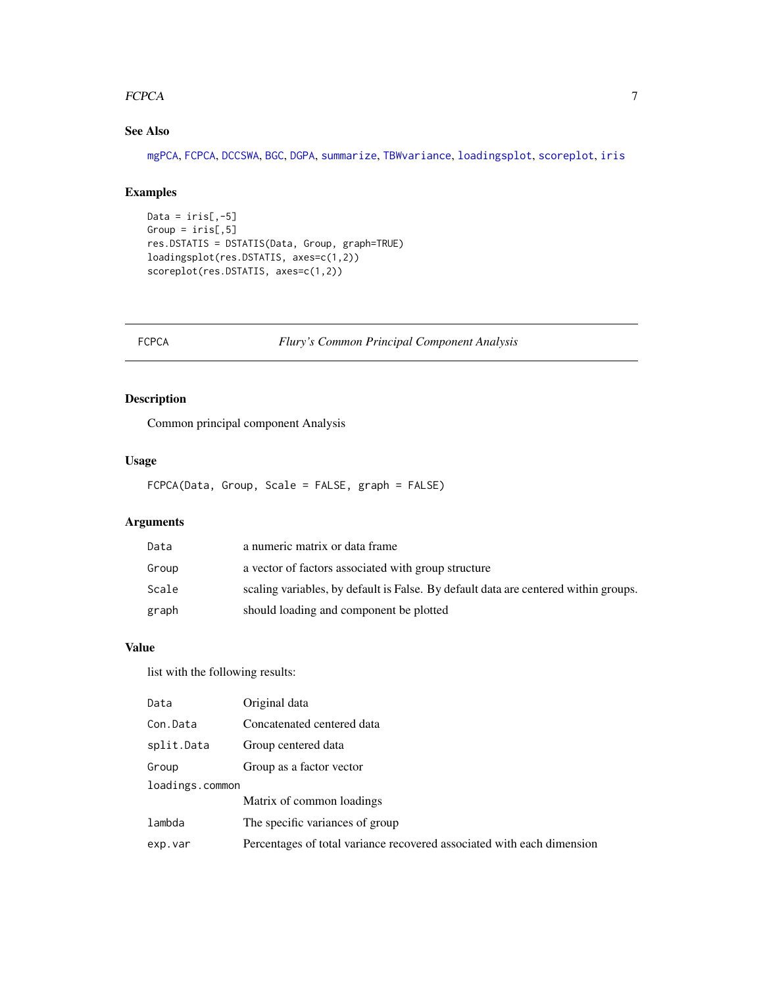#### <span id="page-6-0"></span>FCPCA 22 and 22 and 22 and 23 and 23 and 23 and 23 and 23 and 23 and 23 and 23 and 23 and 23 and 23 and 23 and 23 and 23 and 23 and 23 and 23 and 23 and 23 and 23 and 23 and 23 and 23 and 23 and 23 and 23 and 23 and 23 and

## See Also

[mgPCA](#page-11-1), [FCPCA](#page-6-1), [DCCSWA](#page-2-1), [BGC](#page-1-1), [DGPA](#page-3-1), [summarize](#page-17-1), [TBWvariance](#page-18-1), [loadingsplot](#page-7-1), [scoreplot](#page-16-1), [iris](#page-0-0)

## Examples

```
Data = iris[, -5]Group = iris[, 5]res.DSTATIS = DSTATIS(Data, Group, graph=TRUE)
loadingsplot(res.DSTATIS, axes=c(1,2))
scoreplot(res.DSTATIS, axes=c(1,2))
```
<span id="page-6-1"></span>FCPCA *Flury's Common Principal Component Analysis*

## Description

Common principal component Analysis

## Usage

FCPCA(Data, Group, Scale = FALSE, graph = FALSE)

## Arguments

| Data  | a numeric matrix or data frame                                                      |
|-------|-------------------------------------------------------------------------------------|
| Group | a vector of factors associated with group structure                                 |
| Scale | scaling variables, by default is False. By default data are centered within groups. |
| graph | should loading and component be plotted                                             |

## Value

| Data            | Original data                                                          |
|-----------------|------------------------------------------------------------------------|
| Con.Data        | Concatenated centered data                                             |
| split.Data      | Group centered data                                                    |
| Group           | Group as a factor vector                                               |
| loadings.common |                                                                        |
|                 | Matrix of common loadings                                              |
| lambda          | The specific variances of group                                        |
| exp.var         | Percentages of total variance recovered associated with each dimension |
|                 |                                                                        |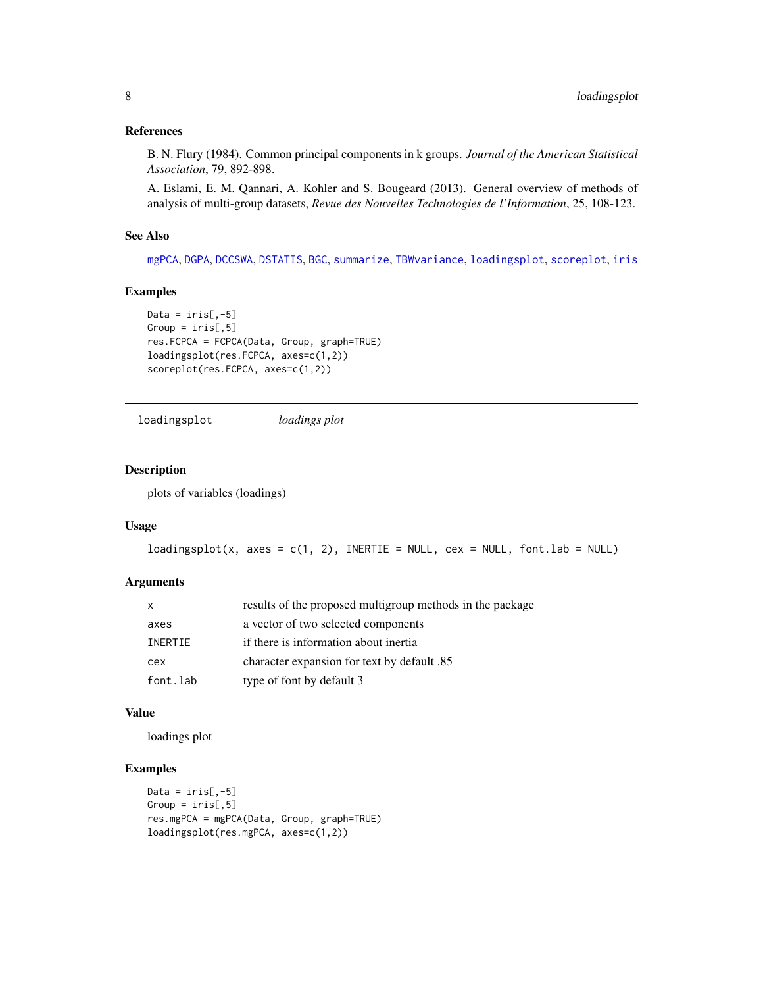## <span id="page-7-0"></span>References

B. N. Flury (1984). Common principal components in k groups. *Journal of the American Statistical Association*, 79, 892-898.

A. Eslami, E. M. Qannari, A. Kohler and S. Bougeard (2013). General overview of methods of analysis of multi-group datasets, *Revue des Nouvelles Technologies de l'Information*, 25, 108-123.

## See Also

[mgPCA](#page-11-1), [DGPA](#page-3-1), [DCCSWA](#page-2-1), [DSTATIS](#page-5-1), [BGC](#page-1-1), [summarize](#page-17-1), [TBWvariance](#page-18-1), [loadingsplot](#page-7-1), [scoreplot](#page-16-1), [iris](#page-0-0)

#### Examples

```
Data = iris[, -5]Group = iris[, 5]res.FCPCA = FCPCA(Data, Group, graph=TRUE)
loadingsplot(res.FCPCA, axes=c(1,2))
scoreplot(res.FCPCA, axes=c(1,2))
```

```
loadingsplot loadings plot
```
## Description

plots of variables (loadings)

#### Usage

```
loadingplot(x, axes = c(1, 2), INERTIE = NULL, cex = NULL, font.lab = NULL)
```
## Arguments

| $\mathsf{x}$ | results of the proposed multigroup methods in the package |
|--------------|-----------------------------------------------------------|
| axes         | a vector of two selected components                       |
| INERTIE      | if there is information about inertia                     |
| cex          | character expansion for text by default .85               |
| font.lab     | type of font by default 3                                 |

## Value

loadings plot

```
Data = iris[, -5]Group = iris[, 5]res.mgPCA = mgPCA(Data, Group, graph=TRUE)
loadingsplot(res.mgPCA, axes=c(1,2))
```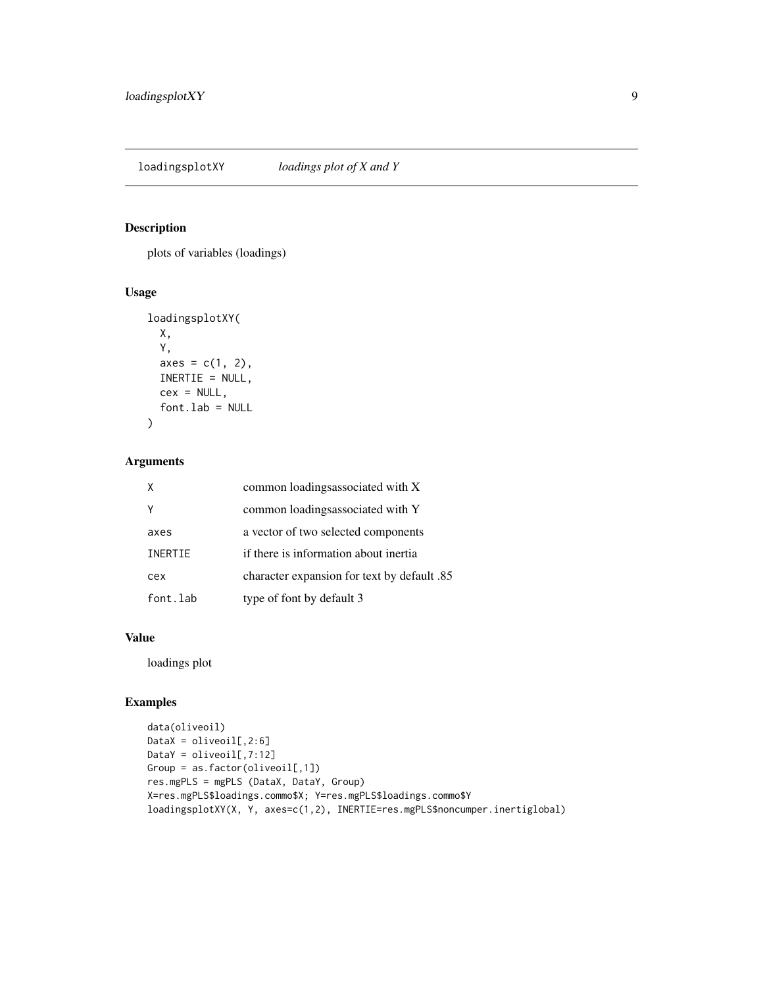<span id="page-8-0"></span>loadingsplotXY *loadings plot of X and Y*

## Description

plots of variables (loadings)

## Usage

```
loadingsplotXY(
 X,
  Y,
 axes = c(1, 2),INERTIE = NULL,
 cex = NULL,font.lab = NULL
)
```
## Arguments

| X        | common loadingsassociated with X            |
|----------|---------------------------------------------|
|          | common loadingsassociated with Y            |
| axes     | a vector of two selected components         |
| INERTIE  | if there is information about inertia       |
| cex      | eharacter expansion for text by default .85 |
| font.lab | type of font by default 3                   |

## Value

loadings plot

```
data(oliveoil)
DataX = oliveoil[, 2:6]DataY = oliveoil[, 7:12]Group = as.factor(oliveoil[,1])res.mgPLS = mgPLS (DataX, DataY, Group)
X=res.mgPLS$loadings.commo$X; Y=res.mgPLS$loadings.commo$Y
loadingsplotXY(X, Y, axes=c(1,2), INERTIE=res.mgPLS$noncumper.inertiglobal)
```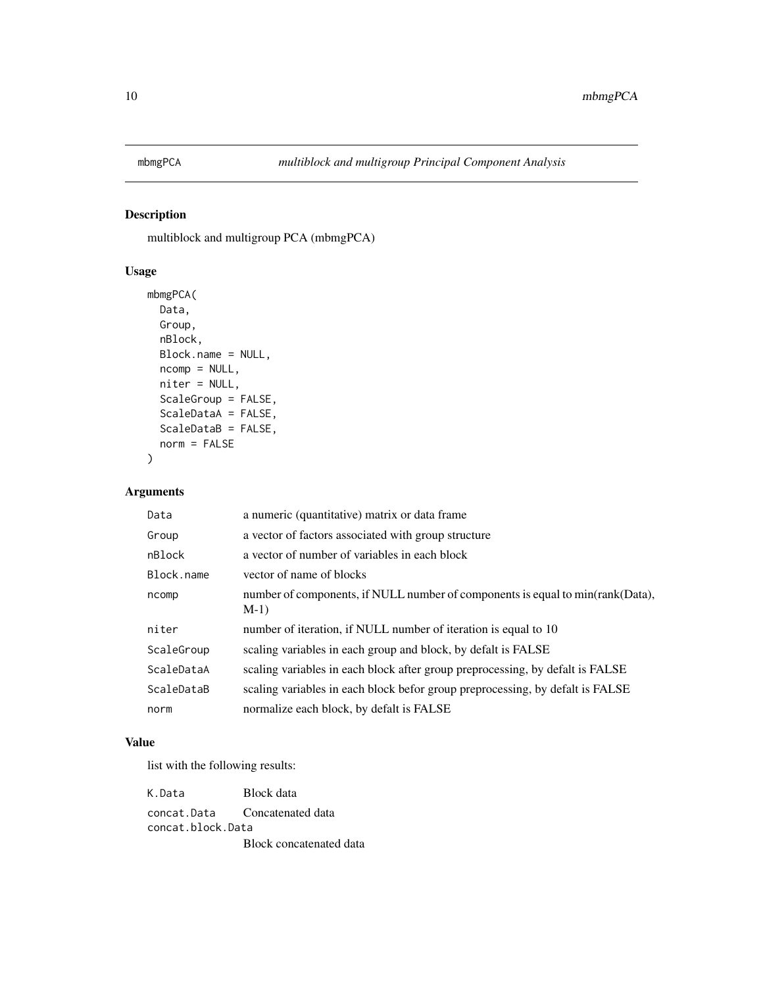<span id="page-9-1"></span><span id="page-9-0"></span>

multiblock and multigroup PCA (mbmgPCA)

## Usage

```
mbmgPCA(
 Data,
 Group,
 nBlock,
 Block.name = NULL,
 ncomp = NULL,niter = NULL,
 ScaleGroup = FALSE,
  ScaleDataA = FALSE,
 ScaleDataB = FALSE,
 norm = FALSE
)
```
## Arguments

| Data       | a numeric (quantitative) matrix or data frame                                           |
|------------|-----------------------------------------------------------------------------------------|
| Group      | a vector of factors associated with group structure                                     |
| nBlock     | a vector of number of variables in each block                                           |
| Block.name | vector of name of blocks                                                                |
| ncomp      | number of components, if NULL number of components is equal to min(rank(Data),<br>$M-1$ |
| niter      | number of iteration, if NULL number of iteration is equal to 10                         |
| ScaleGroup | scaling variables in each group and block, by defalt is FALSE                           |
| ScaleDataA | scaling variables in each block after group preprocessing, by defalt is FALSE           |
| ScaleDataB | scaling variables in each block befor group preprocessing, by defalt is FALSE           |
| norm       | normalize each block, by defalt is FALSE                                                |

## Value

| K.Data            | Block data                    |
|-------------------|-------------------------------|
|                   | concat.Data Concatenated data |
| concat.block.Data |                               |
|                   | Block concatenated data       |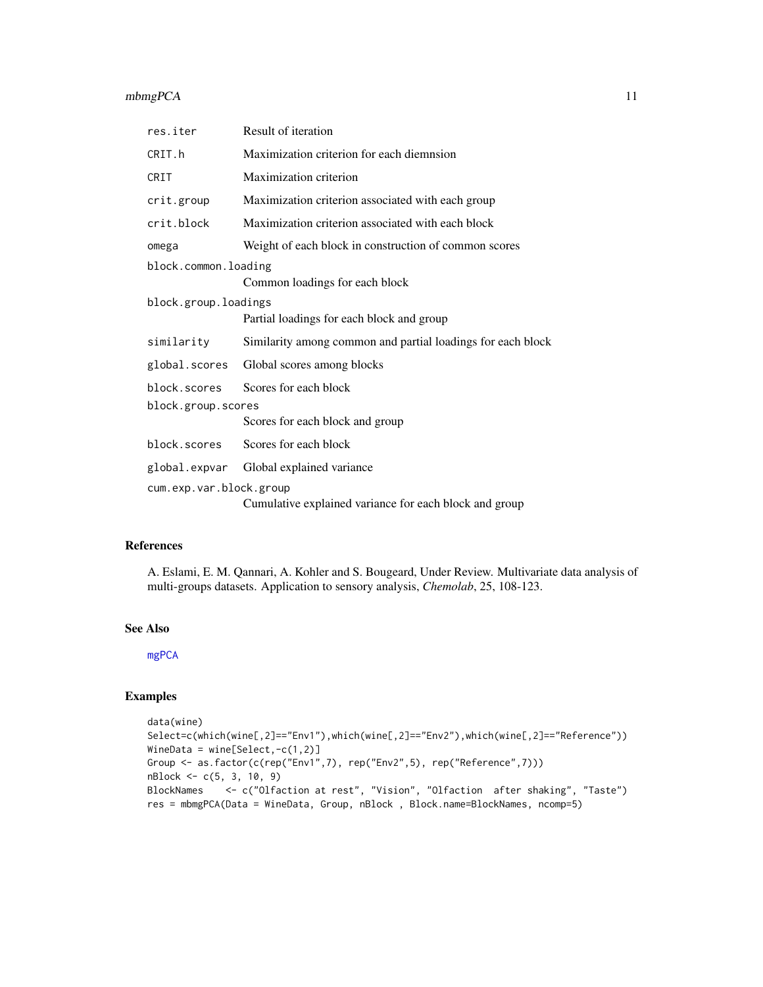## <span id="page-10-0"></span>mbmgPCA 11

| res.iter                | Result of iteration                                         |
|-------------------------|-------------------------------------------------------------|
| CRIT.h                  | Maximization criterion for each diemnsion                   |
| CRIT                    | Maximization criterion                                      |
| crit.group              | Maximization criterion associated with each group           |
| crit.block              | Maximization criterion associated with each block           |
| omega                   | Weight of each block in construction of common scores       |
| block.common.loading    |                                                             |
|                         | Common loadings for each block                              |
| block.group.loadings    |                                                             |
|                         | Partial loadings for each block and group                   |
| similarity              | Similarity among common and partial loadings for each block |
| global.scores           | Global scores among blocks                                  |
| block.scores            | Scores for each block                                       |
| block.group.scores      |                                                             |
|                         | Scores for each block and group                             |
| block.scores            | Scores for each block                                       |
| global.expvar           | Global explained variance                                   |
| cum.exp.var.block.group |                                                             |
|                         | Cumulative explained variance for each block and group      |

#### References

A. Eslami, E. M. Qannari, A. Kohler and S. Bougeard, Under Review. Multivariate data analysis of multi-groups datasets. Application to sensory analysis, *Chemolab*, 25, 108-123.

#### See Also

[mgPCA](#page-11-1)

```
data(wine)
Select=c(which(wine[,2]=="Env1"),which(wine[,2]=="Env2"),which(wine[,2]=="Reference"))
WineData = wine[Select,-c(1,2)]
Group <- as.factor(c(rep("Env1",7), rep("Env2",5), rep("Reference",7)))
nBlock <- c(5, 3, 10, 9)
BlockNames <- c("Olfaction at rest", "Vision", "Olfaction after shaking", "Taste")
res = mbmgPCA(Data = WineData, Group, nBlock , Block.name=BlockNames, ncomp=5)
```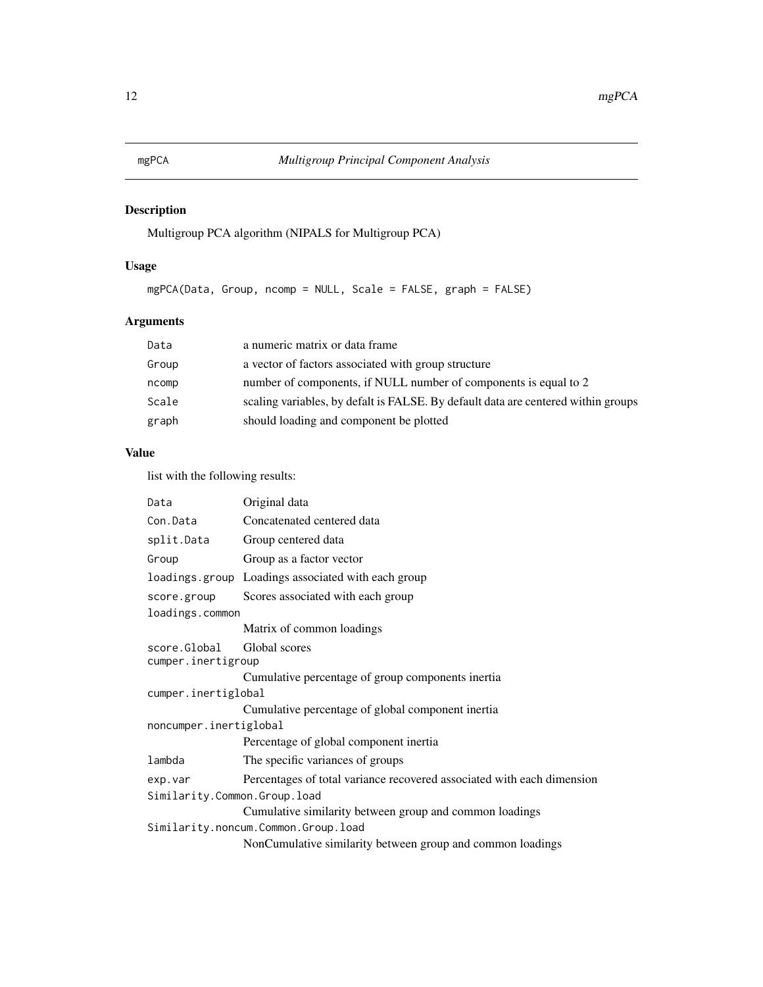<span id="page-11-1"></span><span id="page-11-0"></span>Multigroup PCA algorithm (NIPALS for Multigroup PCA)

## Usage

mgPCA(Data, Group, ncomp = NULL, Scale = FALSE, graph = FALSE)

## Arguments

| Data  | a numeric matrix or data frame                                                    |
|-------|-----------------------------------------------------------------------------------|
| Group | a vector of factors associated with group structure                               |
| ncomp | number of components, if NULL number of components is equal to 2                  |
| Scale | scaling variables, by defalt is FALSE. By default data are centered within groups |
| graph | should loading and component be plotted                                           |

## Value

| Data                         | Original data                                                          |  |
|------------------------------|------------------------------------------------------------------------|--|
| Con.Data                     | Concatenated centered data                                             |  |
| split.Data                   | Group centered data                                                    |  |
| Group                        | Group as a factor vector                                               |  |
|                              | loadings group Loadings associated with each group                     |  |
| score.group                  | Scores associated with each group                                      |  |
| loadings.common              |                                                                        |  |
|                              | Matrix of common loadings                                              |  |
| score.Global                 | Global scores                                                          |  |
| cumper.inertigroup           |                                                                        |  |
|                              | Cumulative percentage of group components inertia                      |  |
| cumper.inertiglobal          |                                                                        |  |
|                              | Cumulative percentage of global component inertia                      |  |
| noncumper.inertiglobal       |                                                                        |  |
|                              | Percentage of global component inertia                                 |  |
| lambda                       | The specific variances of groups                                       |  |
| exp.var                      | Percentages of total variance recovered associated with each dimension |  |
| Similarity.Common.Group.load |                                                                        |  |
|                              | Cumulative similarity between group and common loadings                |  |
|                              | Similarity.noncum.Common.Group.load                                    |  |
|                              | NonCumulative similarity between group and common loadings             |  |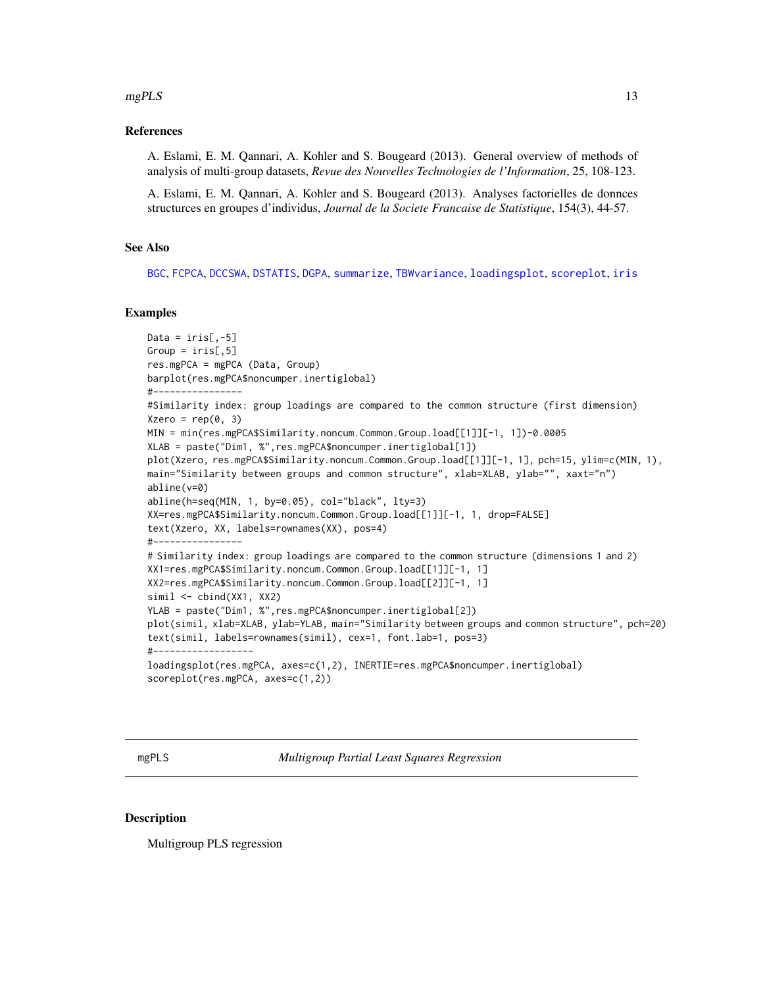#### <span id="page-12-0"></span> $mgPLS$  13

## References

A. Eslami, E. M. Qannari, A. Kohler and S. Bougeard (2013). General overview of methods of analysis of multi-group datasets, *Revue des Nouvelles Technologies de l'Information*, 25, 108-123.

A. Eslami, E. M. Qannari, A. Kohler and S. Bougeard (2013). Analyses factorielles de donnces structurces en groupes d'individus, *Journal de la Societe Francaise de Statistique*, 154(3), 44-57.

## See Also

[BGC](#page-1-1), [FCPCA](#page-6-1), [DCCSWA](#page-2-1), [DSTATIS](#page-5-1), [DGPA](#page-3-1), [summarize](#page-17-1), [TBWvariance](#page-18-1), [loadingsplot](#page-7-1), [scoreplot](#page-16-1), [iris](#page-0-0)

## Examples

```
Data = iris[, -5]Group = iris[, 5]res.mgPCA = mgPCA (Data, Group)
barplot(res.mgPCA$noncumper.inertiglobal)
#----------------
#Similarity index: group loadings are compared to the common structure (first dimension)
Xzero = rep(0, 3)MIN = min(res.mgPCA$Similarity.noncum.Common.Group.load[[1]][-1, 1])-0.0005
XLAB = paste("Dim1, %",res.mgPCA$noncumper.inertiglobal[1])
plot(Xzero, res.mgPCA$Similarity.noncum.Common.Group.load[[1]][-1, 1], pch=15, ylim=c(MIN, 1),
main="Similarity between groups and common structure", xlab=XLAB, ylab="", xaxt="n")
abline(v=0)
abline(h=seq(MIN, 1, by=0.05), col="black", lty=3)
XX=res.mgPCA$Similarity.noncum.Common.Group.load[[1]][-1, 1, drop=FALSE]
text(Xzero, XX, labels=rownames(XX), pos=4)
#----------------
# Similarity index: group loadings are compared to the common structure (dimensions 1 and 2)
XX1=res.mgPCA$Similarity.noncum.Common.Group.load[[1]][-1, 1]
XX2=res.mgPCA$Similarity.noncum.Common.Group.load[[2]][-1, 1]
simil <- cbind(XX1, XX2)
YLAB = paste("Dim1, %",res.mgPCA$noncumper.inertiglobal[2])
plot(simil, xlab=XLAB, ylab=YLAB, main="Similarity between groups and common structure", pch=20)
text(simil, labels=rownames(simil), cex=1, font.lab=1, pos=3)
#------------------
loadingsplot(res.mgPCA, axes=c(1,2), INERTIE=res.mgPCA$noncumper.inertiglobal)
scoreplot(res.mgPCA, axes=c(1,2))
```
<span id="page-12-1"></span>mgPLS *Multigroup Partial Least Squares Regression*

#### **Description**

Multigroup PLS regression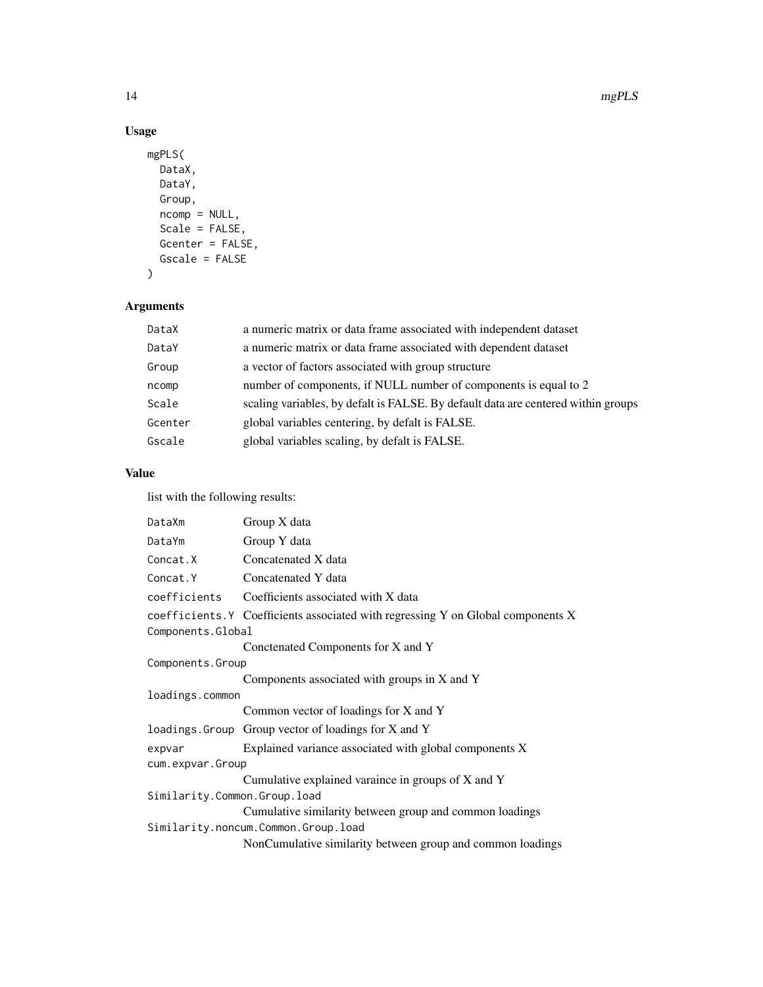## Usage

```
mgPLS(
  DataX,
 DataY,
  Group,
 ncomp = NULL,Scale = FALSE,
 Gcenter = FALSE,
  Gscale = FALSE
)
```
## Arguments

| DataX   | a numeric matrix or data frame associated with independent dataset                |
|---------|-----------------------------------------------------------------------------------|
| DataY   | a numeric matrix or data frame associated with dependent dataset                  |
| Group   | a vector of factors associated with group structure                               |
| ncomp   | number of components, if NULL number of components is equal to 2                  |
| Scale   | scaling variables, by defalt is FALSE. By default data are centered within groups |
| Gcenter | global variables centering, by defalt is FALSE.                                   |
| Gscale  | global variables scaling, by defalt is FALSE.                                     |
|         |                                                                                   |

## Value

| DataXm                       | Group X data                                                                    |
|------------------------------|---------------------------------------------------------------------------------|
| DataYm                       | Group Y data                                                                    |
| Concat.X                     | Concatenated X data                                                             |
| Concat.Y                     | Concatenated Y data                                                             |
|                              | coefficients Coefficients associated with X data                                |
|                              | coefficients.Y Coefficients associated with regressing Y on Global components X |
| Components.Global            |                                                                                 |
|                              | Conctenated Components for X and Y                                              |
| Components.Group             |                                                                                 |
|                              | Components associated with groups in X and Y                                    |
| loadings.common              |                                                                                 |
|                              | Common vector of loadings for X and Y                                           |
|                              | loadings. Group Group vector of loadings for X and Y                            |
| expvar                       | Explained variance associated with global components X                          |
| cum.expvar.Group             |                                                                                 |
|                              | Cumulative explained varaince in groups of X and Y                              |
| Similarity.Common.Group.load |                                                                                 |
|                              | Cumulative similarity between group and common loadings                         |
|                              | Similarity.noncum.Common.Group.load                                             |
|                              | NonCumulative similarity between group and common loadings                      |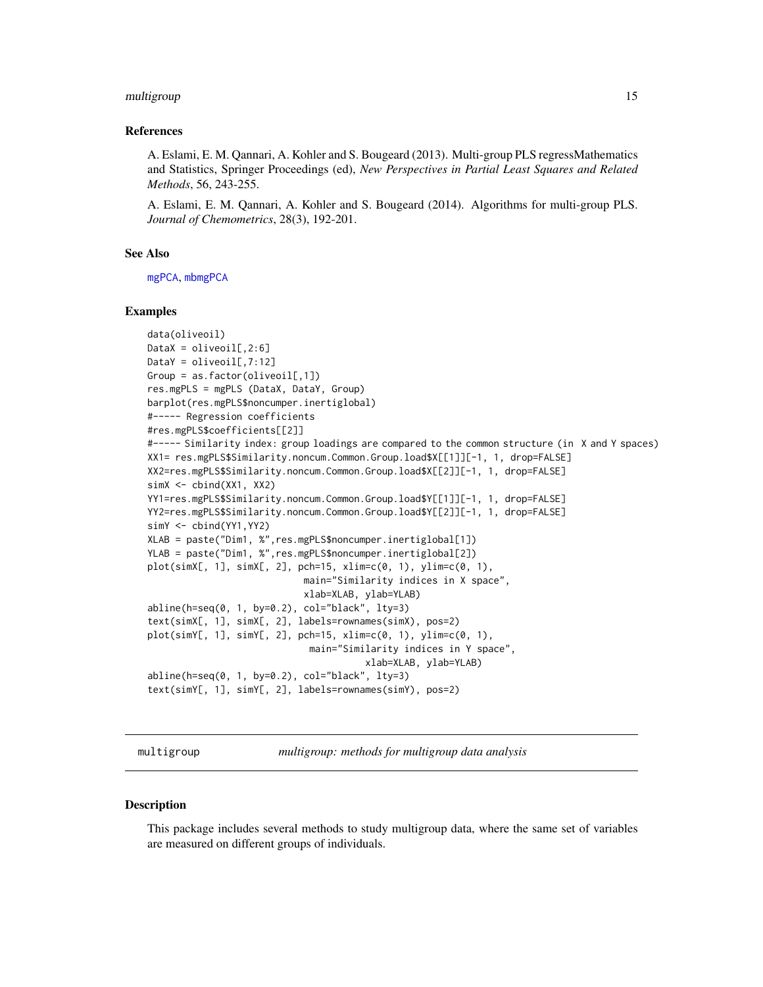#### <span id="page-14-0"></span>multigroup 15

#### References

A. Eslami, E. M. Qannari, A. Kohler and S. Bougeard (2013). Multi-group PLS regressMathematics and Statistics, Springer Proceedings (ed), *New Perspectives in Partial Least Squares and Related Methods*, 56, 243-255.

A. Eslami, E. M. Qannari, A. Kohler and S. Bougeard (2014). Algorithms for multi-group PLS. *Journal of Chemometrics*, 28(3), 192-201.

#### See Also

[mgPCA](#page-11-1), [mbmgPCA](#page-9-1)

#### Examples

```
data(oliveoil)
DataX = oliveoil[, 2:6]DataY = oliveoil[, 7:12]Group = as.factor(oliveoil[,1])
res.mgPLS = mgPLS (DataX, DataY, Group)
barplot(res.mgPLS$noncumper.inertiglobal)
#----- Regression coefficients
#res.mgPLS$coefficients[[2]]
#----- Similarity index: group loadings are compared to the common structure (in X and Y spaces)
XX1= res.mgPLS$Similarity.noncum.Common.Group.load$X[[1]][-1, 1, drop=FALSE]
XX2=res.mgPLS$Similarity.noncum.Common.Group.load$X[[2]][-1, 1, drop=FALSE]
simX <- cbind(XX1, XX2)
YY1=res.mgPLS$Similarity.noncum.Common.Group.load$Y[[1]][-1, 1, drop=FALSE]
YY2=res.mgPLS$Similarity.noncum.Common.Group.load$Y[[2]][-1, 1, drop=FALSE]
simY <- cbind(YY1,YY2)
XLAB = paste("Dim1, %",res.mgPLS$noncumper.inertiglobal[1])
YLAB = paste("Dim1, %",res.mgPLS$noncumper.inertiglobal[2])
plot(simX[, 1], simX[, 2], pch=15, xlim=c(0, 1), ylim=c(0, 1),
                            main="Similarity indices in X space",
                            xlab=XLAB, ylab=YLAB)
abline(h=seq(0, 1, by=0.2), col="black", lty=3)
text(simX[, 1], simX[, 2], labels=rownames(simX), pos=2)
plot(simY[, 1], simY[, 2], pch=15, xlim=c(0, 1), ylim=c(0, 1),
                             main="Similarity indices in Y space",
                                       xlab=XLAB, ylab=YLAB)
abline(h=seq(0, 1, by=0.2), col="black", lty=3)
text(simY[, 1], simY[, 2], labels=rownames(simY), pos=2)
```
multigroup *multigroup: methods for multigroup data analysis*

#### **Description**

This package includes several methods to study multigroup data, where the same set of variables are measured on different groups of individuals.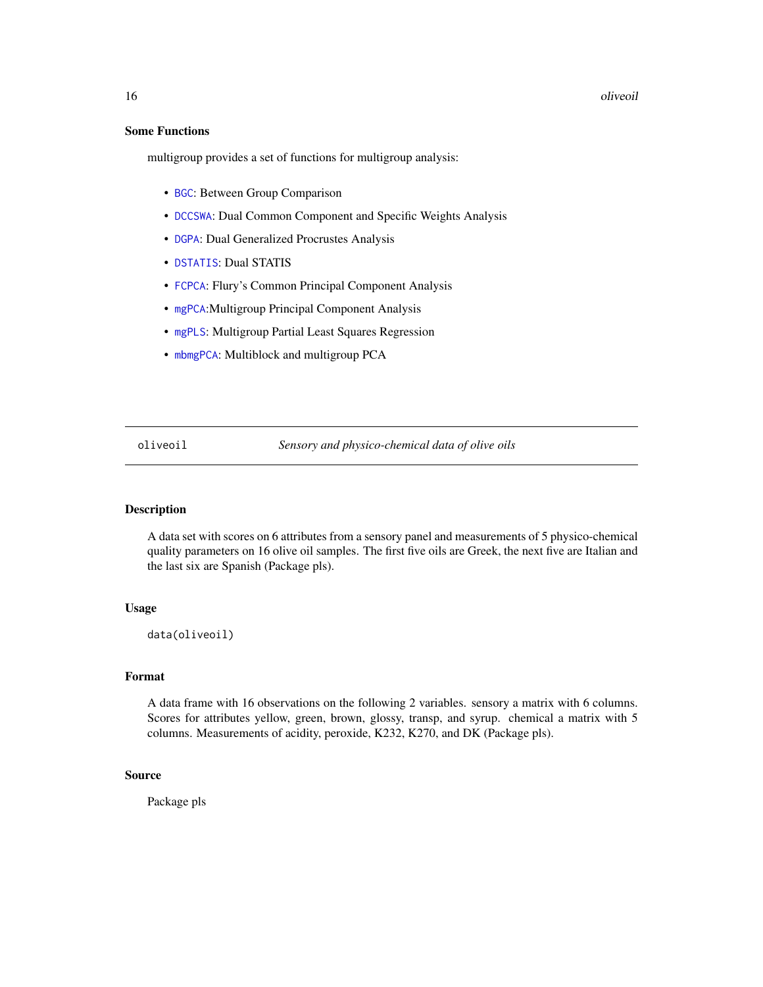#### 16 oliveoil and the contract of the contract of the contract of the contract of the contract of the contract of the contract of the contract of the contract of the contract of the contract of the contract of the contract o

## Some Functions

multigroup provides a set of functions for multigroup analysis:

- [BGC](#page-1-1): Between Group Comparison
- [DCCSWA](#page-2-1): Dual Common Component and Specific Weights Analysis
- [DGPA](#page-3-1): Dual Generalized Procrustes Analysis
- [DSTATIS](#page-5-1): Dual STATIS
- [FCPCA](#page-6-1): Flury's Common Principal Component Analysis
- [mgPCA](#page-11-1):Multigroup Principal Component Analysis
- [mgPLS](#page-12-1): Multigroup Partial Least Squares Regression
- [mbmgPCA](#page-9-1): Multiblock and multigroup PCA

oliveoil *Sensory and physico-chemical data of olive oils*

#### Description

A data set with scores on 6 attributes from a sensory panel and measurements of 5 physico-chemical quality parameters on 16 olive oil samples. The first five oils are Greek, the next five are Italian and the last six are Spanish (Package pls).

## Usage

data(oliveoil)

## Format

A data frame with 16 observations on the following 2 variables. sensory a matrix with 6 columns. Scores for attributes yellow, green, brown, glossy, transp, and syrup. chemical a matrix with 5 columns. Measurements of acidity, peroxide, K232, K270, and DK (Package pls).

## Source

Package pls

<span id="page-15-0"></span>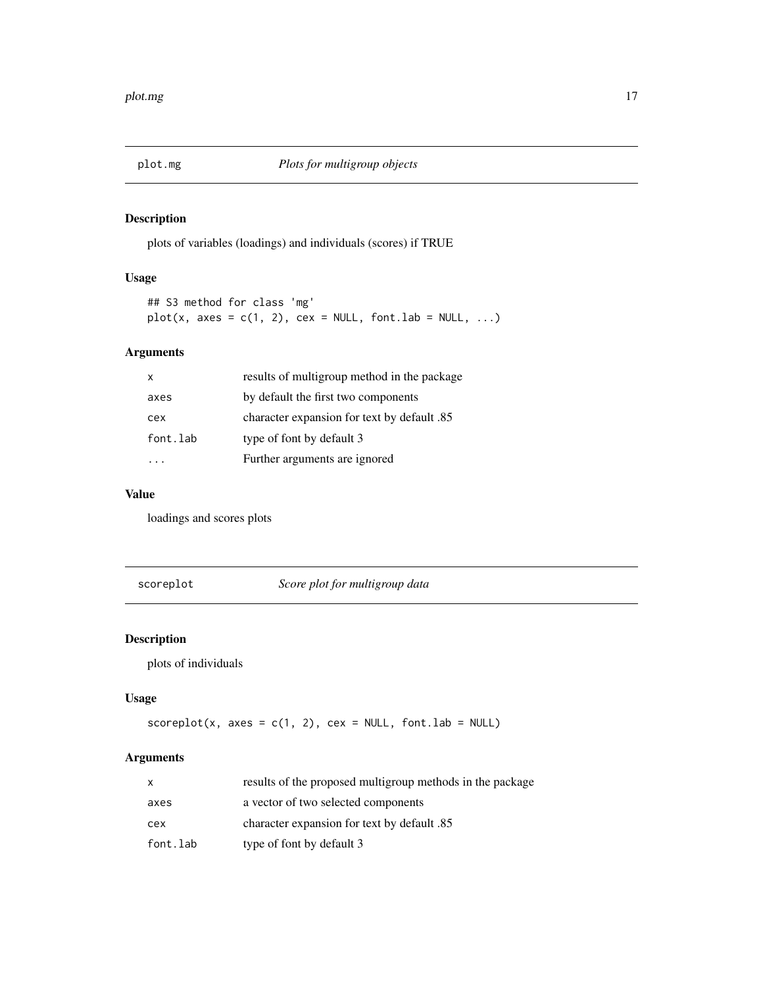<span id="page-16-0"></span>

plots of variables (loadings) and individuals (scores) if TRUE

## Usage

## S3 method for class 'mg'  $plot(x, axes = c(1, 2), cex = NULL, font.lab = NULL, ...)$ 

## Arguments

| x        | results of multigroup method in the package |
|----------|---------------------------------------------|
| axes     | by default the first two components         |
| cex      | character expansion for text by default .85 |
| font.lab | type of font by default 3                   |
|          | Further arguments are ignored               |

## Value

loadings and scores plots

<span id="page-16-1"></span>scoreplot *Score plot for multigroup data*

## Description

plots of individuals

## Usage

```
scoreplot(x, axes = c(1, 2), cex = NULL, font.lab = NULL)
```
## Arguments

| X        | results of the proposed multigroup methods in the package |
|----------|-----------------------------------------------------------|
| axes     | a vector of two selected components                       |
| cex      | enaracter expansion for text by default .85               |
| font.lab | type of font by default 3                                 |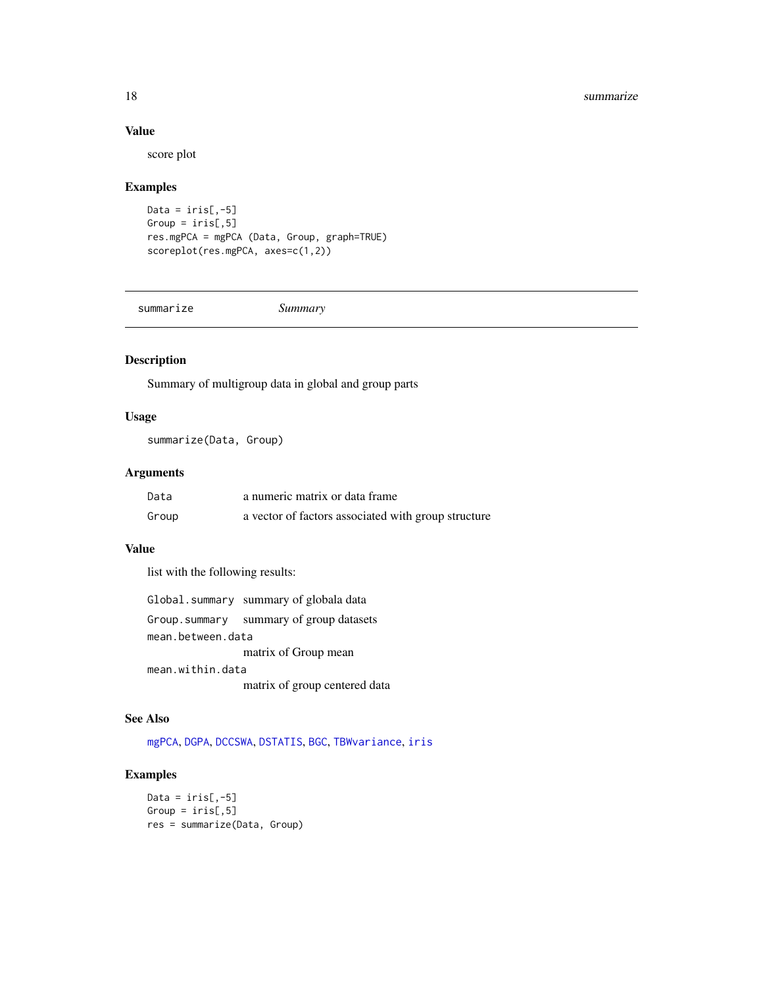#### 18 summarize

## Value

score plot

## Examples

```
Data = iris[, -5]Group = iris[, 5]res.mgPCA = mgPCA (Data, Group, graph=TRUE)
scoreplot(res.mgPCA, axes=c(1,2))
```
<span id="page-17-1"></span>summarize *Summary*

## Description

Summary of multigroup data in global and group parts

## Usage

summarize(Data, Group)

## Arguments

| Data  | a numeric matrix or data frame                      |
|-------|-----------------------------------------------------|
| Group | a vector of factors associated with group structure |

## Value

list with the following results:

|                   | Global.summary summary of globala data   |
|-------------------|------------------------------------------|
|                   | Group. summary summary of group datasets |
| mean.between.data |                                          |
|                   | matrix of Group mean                     |
| mean.within.data  |                                          |
|                   | matrix of group centered data            |

## See Also

[mgPCA](#page-11-1), [DGPA](#page-3-1), [DCCSWA](#page-2-1), [DSTATIS](#page-5-1), [BGC](#page-1-1), [TBWvariance](#page-18-1), [iris](#page-0-0)

```
Data = iris[, -5]Group = iris[, 5]res = summarize(Data, Group)
```
<span id="page-17-0"></span>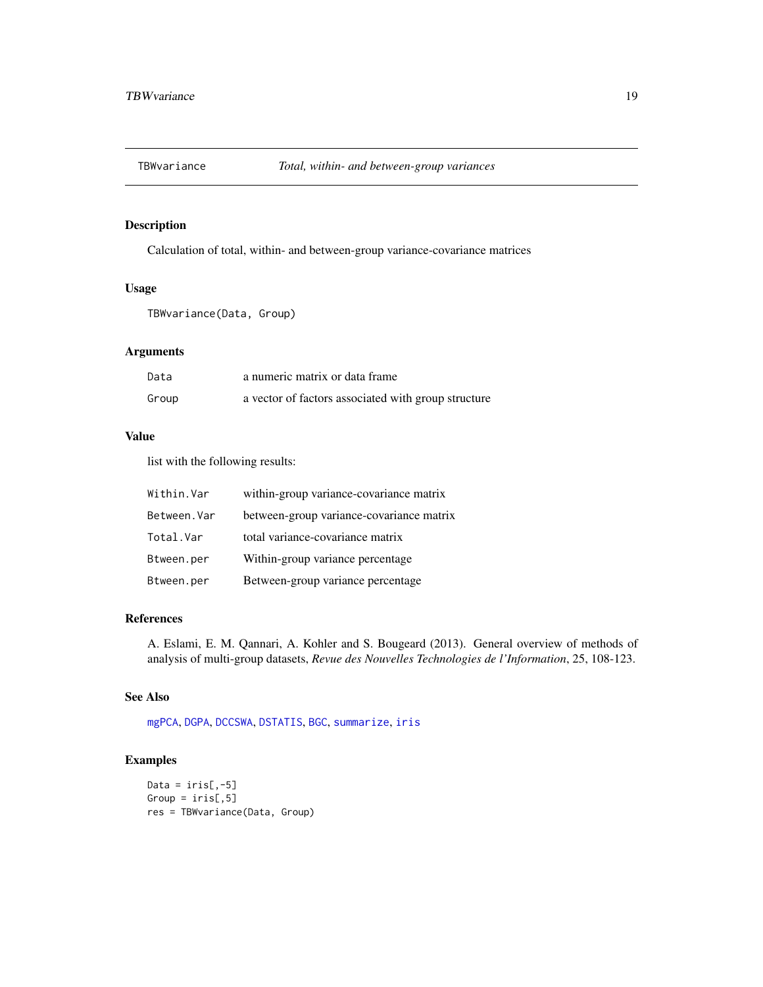<span id="page-18-1"></span><span id="page-18-0"></span>

Calculation of total, within- and between-group variance-covariance matrices

## Usage

TBWvariance(Data, Group)

## Arguments

| Data  | a numeric matrix or data frame                      |
|-------|-----------------------------------------------------|
| Group | a vector of factors associated with group structure |

## Value

list with the following results:

| Within.Var   | within-group variance-covariance matrix  |
|--------------|------------------------------------------|
| Between. Var | between-group variance-covariance matrix |
| Total.Var    | total variance-covariance matrix         |
| Btween.per   | Within-group variance percentage         |
| Btween.per   | Between-group variance percentage        |

## References

A. Eslami, E. M. Qannari, A. Kohler and S. Bougeard (2013). General overview of methods of analysis of multi-group datasets, *Revue des Nouvelles Technologies de l'Information*, 25, 108-123.

#### See Also

[mgPCA](#page-11-1), [DGPA](#page-3-1), [DCCSWA](#page-2-1), [DSTATIS](#page-5-1), [BGC](#page-1-1), [summarize](#page-17-1), [iris](#page-0-0)

```
Data = iris[, -5]Group = iris[, 5]res = TBWvariance(Data, Group)
```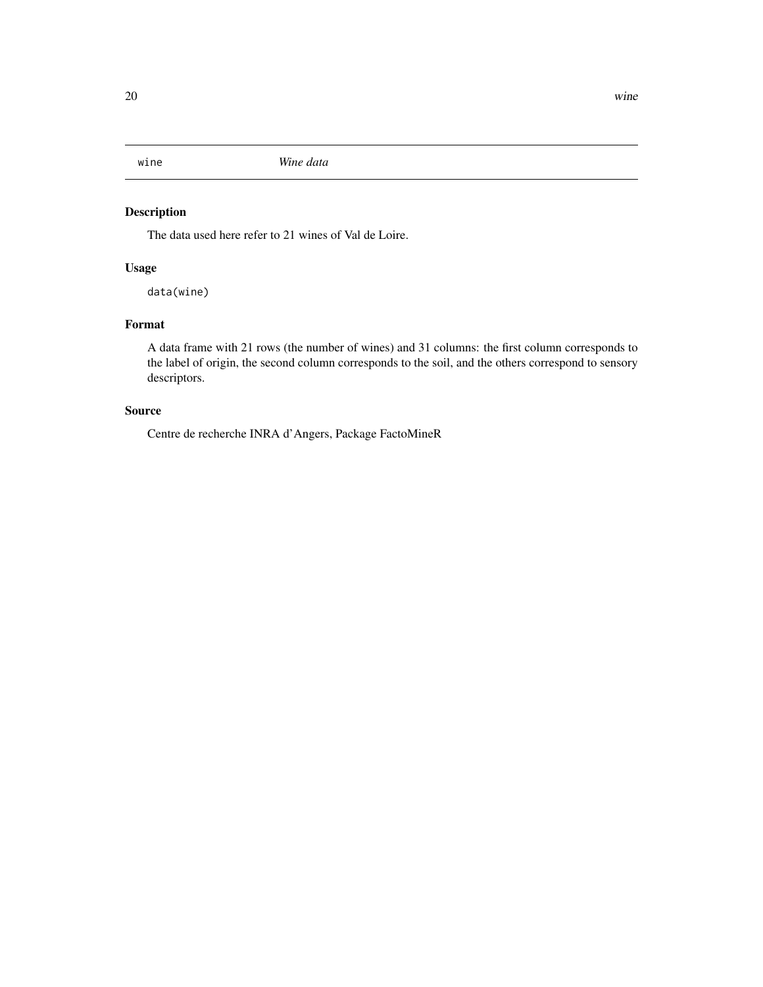<span id="page-19-0"></span>

The data used here refer to 21 wines of Val de Loire.

## Usage

data(wine)

## Format

A data frame with 21 rows (the number of wines) and 31 columns: the first column corresponds to the label of origin, the second column corresponds to the soil, and the others correspond to sensory descriptors.

## Source

Centre de recherche INRA d'Angers, Package FactoMineR